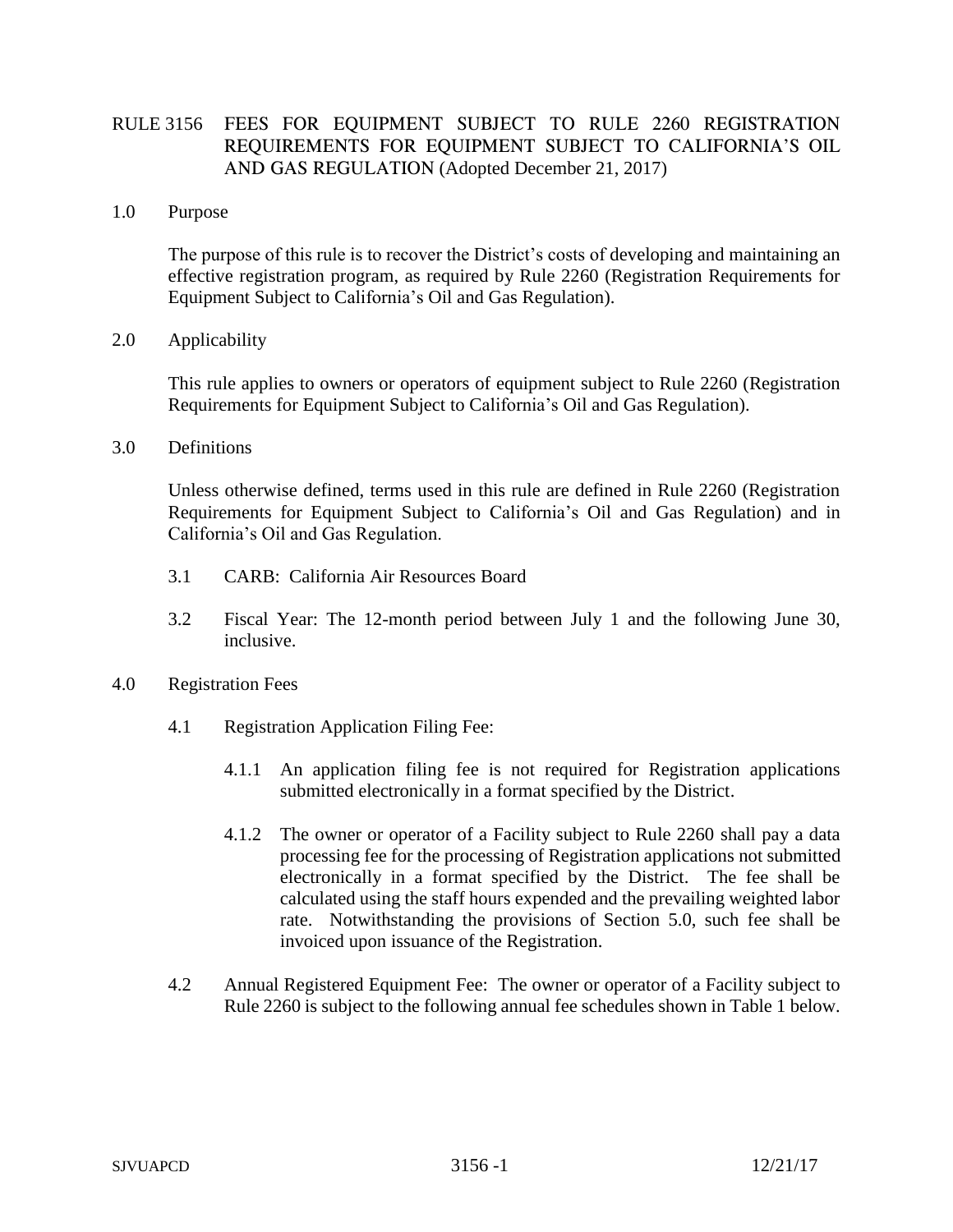## RULE 3156 FEES FOR EQUIPMENT SUBJECT TO RULE 2260 REGISTRATION REQUIREMENTS FOR EQUIPMENT SUBJECT TO CALIFORNIA'S OIL AND GAS REGULATION (Adopted December 21, 2017)

## 1.0 Purpose

The purpose of this rule is to recover the District's costs of developing and maintaining an effective registration program, as required by Rule 2260 (Registration Requirements for Equipment Subject to California's Oil and Gas Regulation).

## 2.0 Applicability

This rule applies to owners or operators of equipment subject to Rule 2260 (Registration Requirements for Equipment Subject to California's Oil and Gas Regulation).

3.0 Definitions

Unless otherwise defined, terms used in this rule are defined in Rule 2260 (Registration Requirements for Equipment Subject to California's Oil and Gas Regulation) and in California's Oil and Gas Regulation.

- 3.1 CARB: California Air Resources Board
- 3.2 Fiscal Year: The 12-month period between July 1 and the following June 30, inclusive.
- 4.0 Registration Fees
	- 4.1 Registration Application Filing Fee:
		- 4.1.1 An application filing fee is not required for Registration applications submitted electronically in a format specified by the District.
		- 4.1.2 The owner or operator of a Facility subject to Rule 2260 shall pay a data processing fee for the processing of Registration applications not submitted electronically in a format specified by the District. The fee shall be calculated using the staff hours expended and the prevailing weighted labor rate. Notwithstanding the provisions of Section 5.0, such fee shall be invoiced upon issuance of the Registration.
	- 4.2 Annual Registered Equipment Fee: The owner or operator of a Facility subject to Rule 2260 is subject to the following annual fee schedules shown in Table 1 below.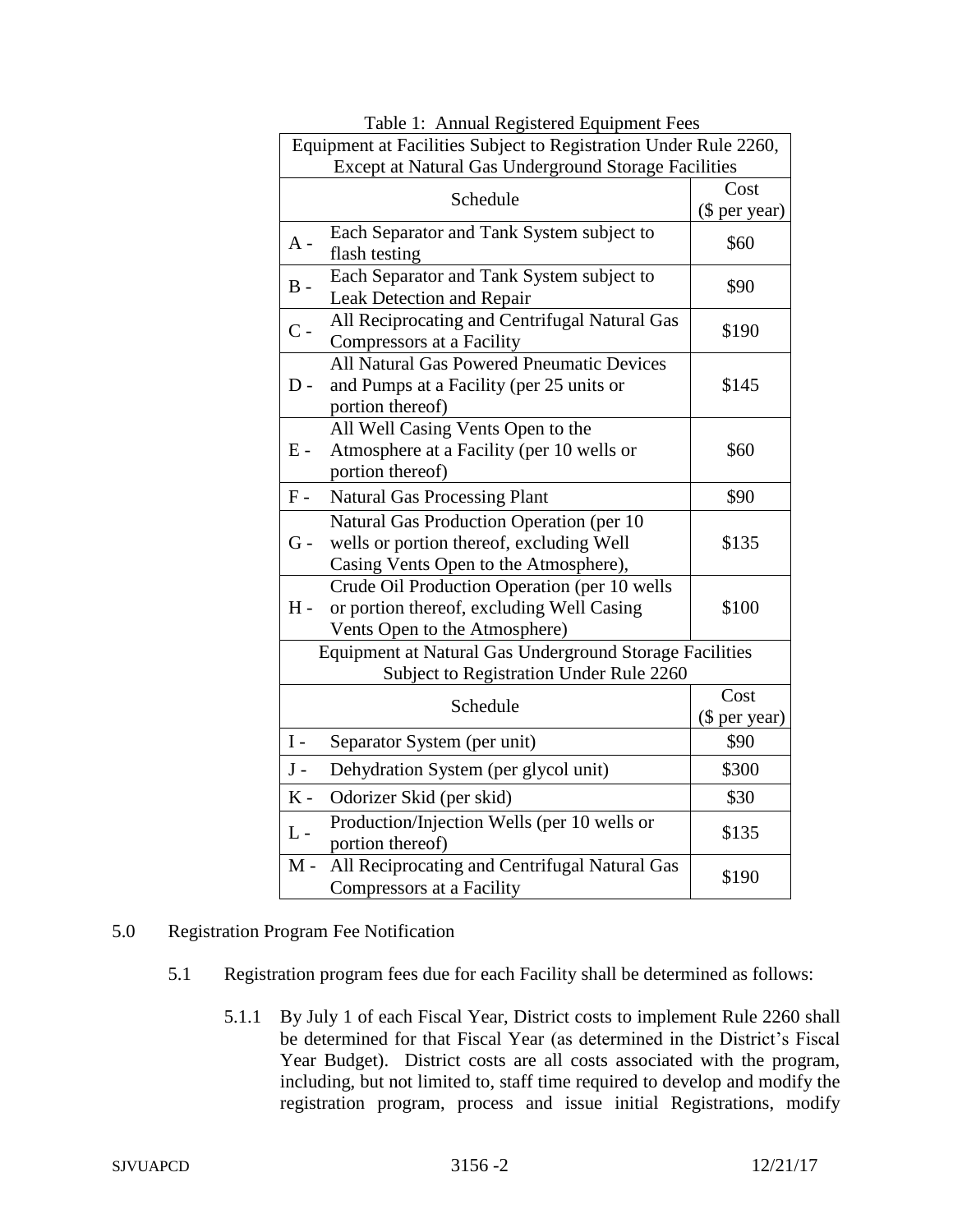| Equipment at Facilities Subject to Registration Under Rule 2260,                                                                       |                       |
|----------------------------------------------------------------------------------------------------------------------------------------|-----------------------|
| Except at Natural Gas Underground Storage Facilities                                                                                   |                       |
| Schedule                                                                                                                               | Cost                  |
|                                                                                                                                        | (\$ per year)         |
| Each Separator and Tank System subject to<br>$A -$<br>flash testing                                                                    | \$60                  |
| Each Separator and Tank System subject to<br>$\, {\bf B}$ -<br>Leak Detection and Repair                                               | \$90                  |
| All Reciprocating and Centrifugal Natural Gas<br>$\overline{C}$ -<br>Compressors at a Facility                                         | \$190                 |
| All Natural Gas Powered Pneumatic Devices<br>$D -$<br>and Pumps at a Facility (per 25 units or<br>portion thereof)                     | \$145                 |
| All Well Casing Vents Open to the<br>Atmosphere at a Facility (per 10 wells or<br>$E -$<br>portion thereof)                            | \$60                  |
| ${\bf F}$ -<br><b>Natural Gas Processing Plant</b>                                                                                     | \$90                  |
| Natural Gas Production Operation (per 10<br>wells or portion thereof, excluding Well<br>$G -$<br>Casing Vents Open to the Atmosphere), | \$135                 |
| Crude Oil Production Operation (per 10 wells<br>or portion thereof, excluding Well Casing<br>H -<br>Vents Open to the Atmosphere)      | \$100                 |
| Equipment at Natural Gas Underground Storage Facilities<br>Subject to Registration Under Rule 2260                                     |                       |
| Schedule                                                                                                                               | Cost<br>(\$ per year) |
| $\rm I$ -<br>Separator System (per unit)                                                                                               | \$90                  |
| $\bf J$ -<br>Dehydration System (per glycol unit)                                                                                      | \$300                 |
| $K -$<br>Odorizer Skid (per skid)                                                                                                      | \$30                  |
| Production/Injection Wells (per 10 wells or<br>$L -$<br>portion thereof)                                                               | \$135                 |
| All Reciprocating and Centrifugal Natural Gas<br>$M -$<br>Compressors at a Facility                                                    | \$190                 |

Table 1: Annual Registered Equipment Fees

- 5.0 Registration Program Fee Notification
	- 5.1 Registration program fees due for each Facility shall be determined as follows:
		- 5.1.1 By July 1 of each Fiscal Year, District costs to implement Rule 2260 shall be determined for that Fiscal Year (as determined in the District's Fiscal Year Budget). District costs are all costs associated with the program, including, but not limited to, staff time required to develop and modify the registration program, process and issue initial Registrations, modify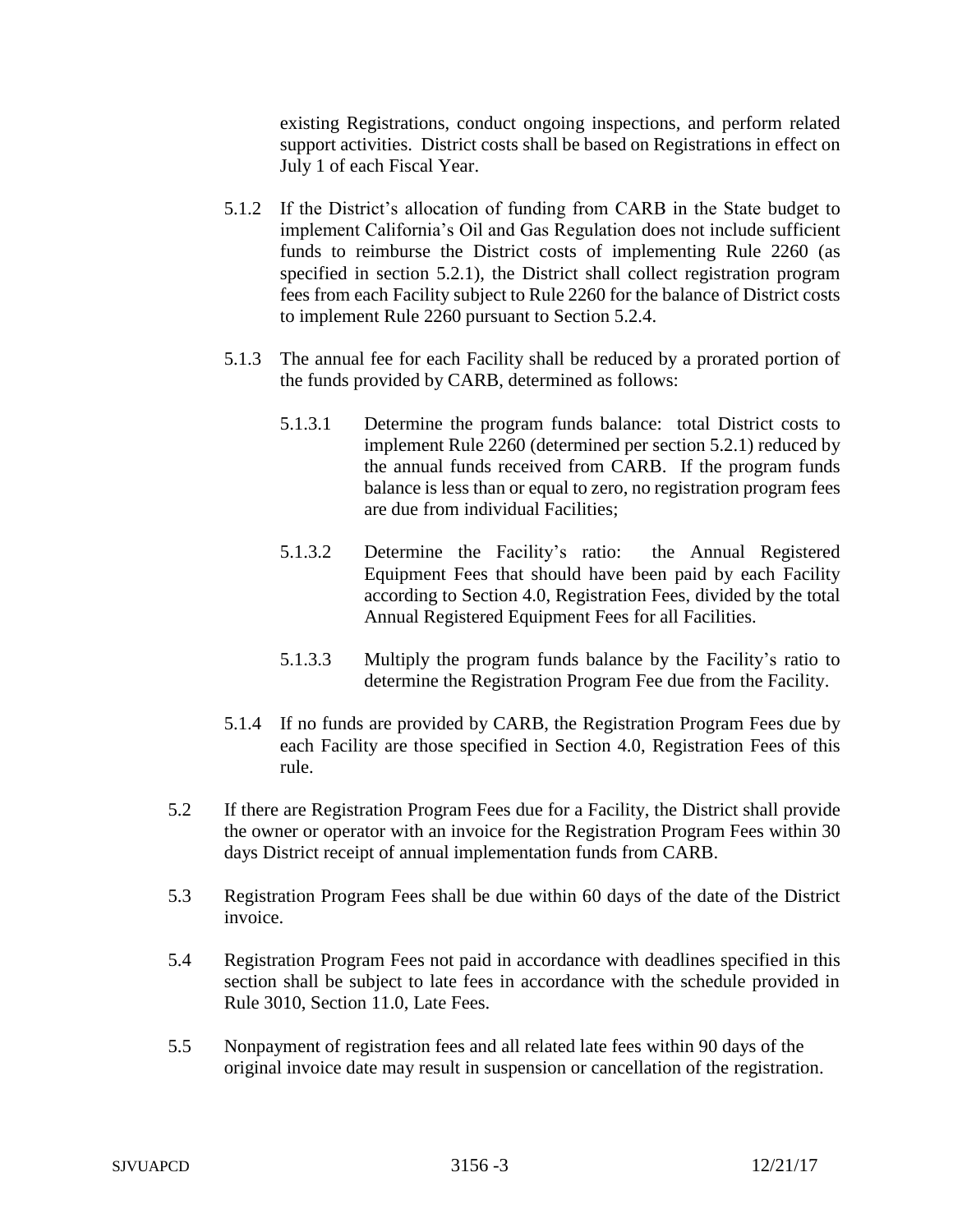existing Registrations, conduct ongoing inspections, and perform related support activities. District costs shall be based on Registrations in effect on July 1 of each Fiscal Year.

- 5.1.2 If the District's allocation of funding from CARB in the State budget to implement California's Oil and Gas Regulation does not include sufficient funds to reimburse the District costs of implementing Rule 2260 (as specified in section 5.2.1), the District shall collect registration program fees from each Facility subject to Rule 2260 for the balance of District costs to implement Rule 2260 pursuant to Section 5.2.4.
- 5.1.3 The annual fee for each Facility shall be reduced by a prorated portion of the funds provided by CARB, determined as follows:
	- 5.1.3.1 Determine the program funds balance: total District costs to implement Rule 2260 (determined per section 5.2.1) reduced by the annual funds received from CARB. If the program funds balance is less than or equal to zero, no registration program fees are due from individual Facilities;
	- 5.1.3.2 Determine the Facility's ratio: the Annual Registered Equipment Fees that should have been paid by each Facility according to Section 4.0, Registration Fees, divided by the total Annual Registered Equipment Fees for all Facilities.
	- 5.1.3.3 Multiply the program funds balance by the Facility's ratio to determine the Registration Program Fee due from the Facility.
- 5.1.4 If no funds are provided by CARB, the Registration Program Fees due by each Facility are those specified in Section 4.0, Registration Fees of this rule.
- 5.2 If there are Registration Program Fees due for a Facility, the District shall provide the owner or operator with an invoice for the Registration Program Fees within 30 days District receipt of annual implementation funds from CARB.
- 5.3 Registration Program Fees shall be due within 60 days of the date of the District invoice.
- 5.4 Registration Program Fees not paid in accordance with deadlines specified in this section shall be subject to late fees in accordance with the schedule provided in Rule 3010, Section 11.0, Late Fees.
- 5.5 Nonpayment of registration fees and all related late fees within 90 days of the original invoice date may result in suspension or cancellation of the registration.